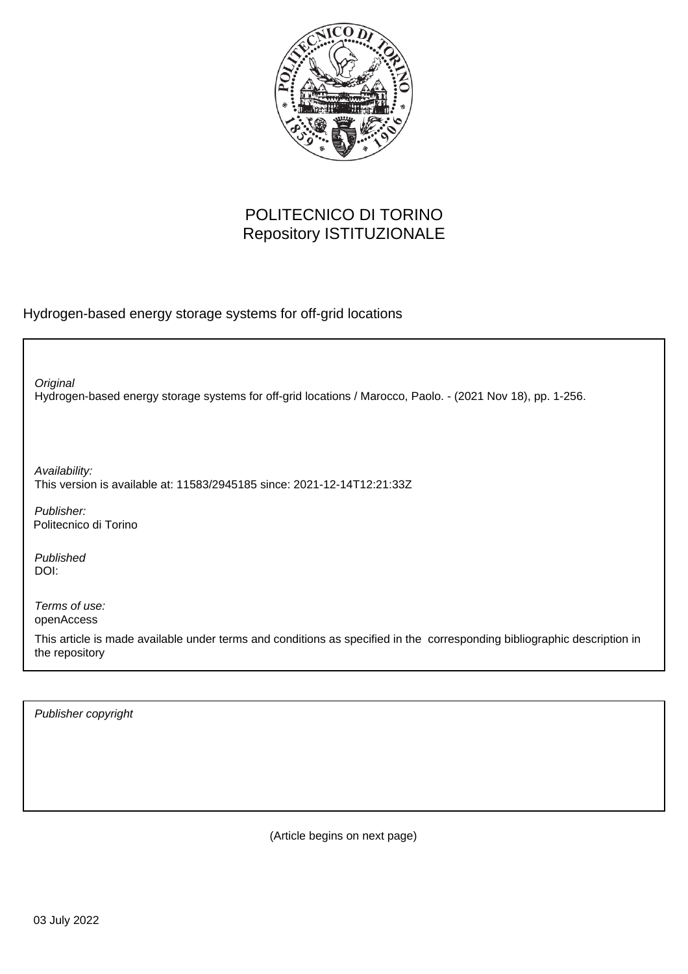

## POLITECNICO DI TORINO Repository ISTITUZIONALE

Hydrogen-based energy storage systems for off-grid locations

Hydrogen-based energy storage systems for off-grid locations / Marocco, Paolo. - (2021 Nov 18), pp. 1-256. **Original** Publisher: Published DOI: Terms of use: openAccess This article is made available under terms and conditions as specified in the corresponding bibliographic description in the repository Availability: This version is available at: 11583/2945185 since: 2021-12-14T12:21:33Z Politecnico di Torino

Publisher copyright

(Article begins on next page)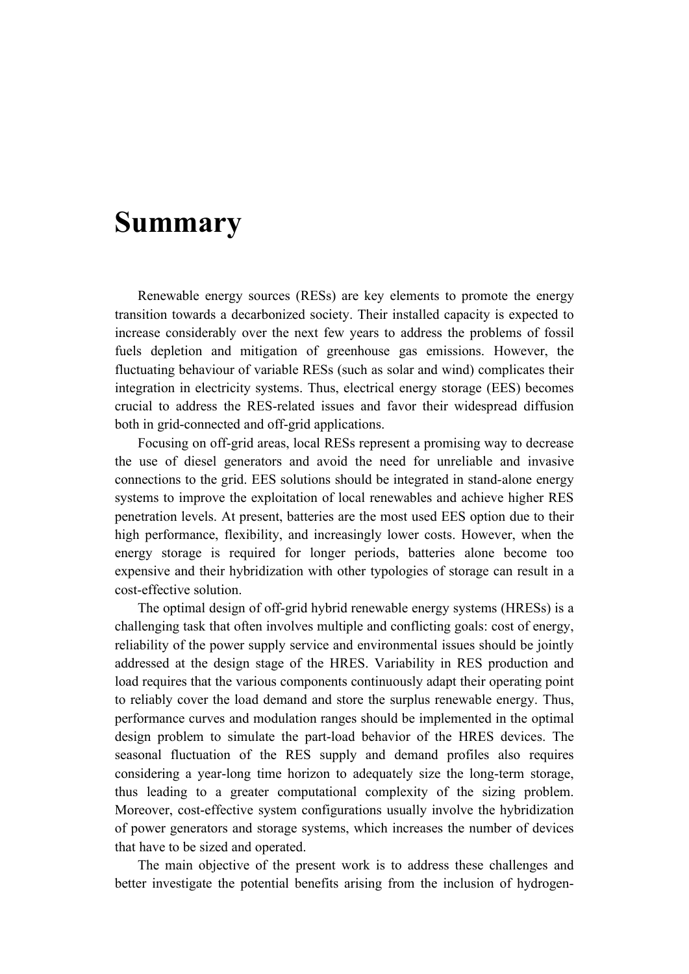## **Summary**

Renewable energy sources (RESs) are key elements to promote the energy transition towards a decarbonized society. Their installed capacity is expected to increase considerably over the next few years to address the problems of fossil fuels depletion and mitigation of greenhouse gas emissions. However, the fluctuating behaviour of variable RESs (such as solar and wind) complicates their integration in electricity systems. Thus, electrical energy storage (EES) becomes crucial to address the RES-related issues and favor their widespread diffusion both in grid-connected and off-grid applications.

Focusing on off-grid areas, local RESs represent a promising way to decrease the use of diesel generators and avoid the need for unreliable and invasive connections to the grid. EES solutions should be integrated in stand-alone energy systems to improve the exploitation of local renewables and achieve higher RES penetration levels. At present, batteries are the most used EES option due to their high performance, flexibility, and increasingly lower costs. However, when the energy storage is required for longer periods, batteries alone become too expensive and their hybridization with other typologies of storage can result in a cost-effective solution.

The optimal design of off-grid hybrid renewable energy systems (HRESs) is a challenging task that often involves multiple and conflicting goals: cost of energy, reliability of the power supply service and environmental issues should be jointly addressed at the design stage of the HRES. Variability in RES production and load requires that the various components continuously adapt their operating point to reliably cover the load demand and store the surplus renewable energy. Thus, performance curves and modulation ranges should be implemented in the optimal design problem to simulate the part-load behavior of the HRES devices. The seasonal fluctuation of the RES supply and demand profiles also requires considering a year-long time horizon to adequately size the long-term storage, thus leading to a greater computational complexity of the sizing problem. Moreover, cost-effective system configurations usually involve the hybridization of power generators and storage systems, which increases the number of devices that have to be sized and operated.

The main objective of the present work is to address these challenges and better investigate the potential benefits arising from the inclusion of hydrogen